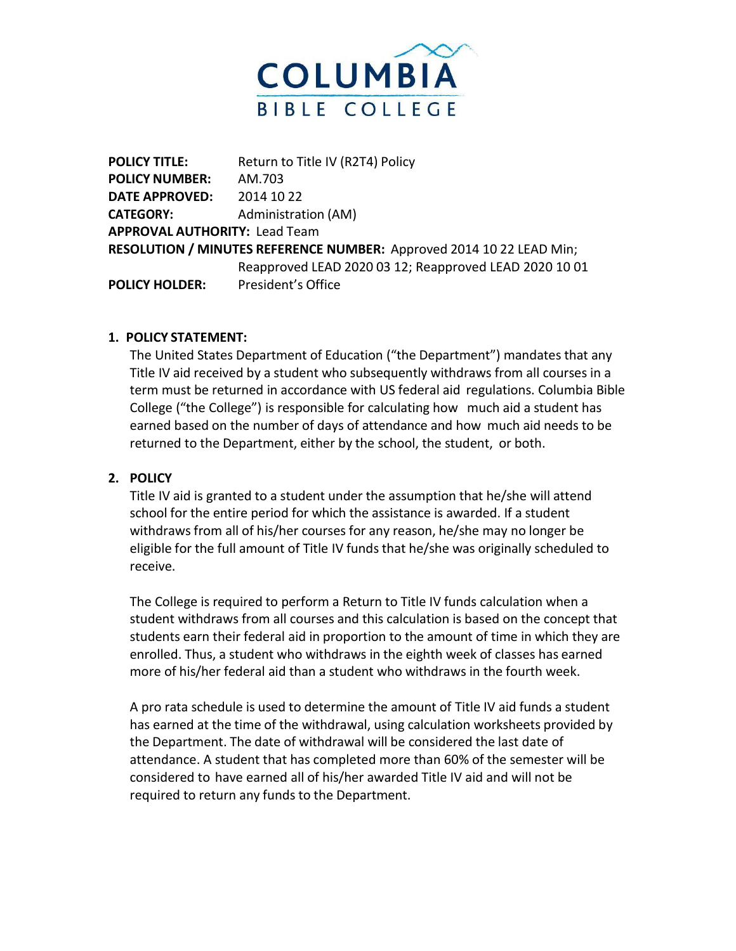

**POLICY TITLE:** Return to Title IV (R2T4) Policy **POLICY NUMBER:** AM.703 **DATE APPROVED:** 2014 10 22 **CATEGORY:** Administration (AM) **APPROVAL AUTHORITY:** Lead Team **RESOLUTION / MINUTES REFERENCE NUMBER:** Approved 2014 10 22 LEAD Min; Reapproved LEAD 2020 03 12; Reapproved LEAD 2020 10 01 **POLICY HOLDER:** President's Office

## **1. POLICY STATEMENT:**

The United States Department of Education ("the Department") mandates that any Title IV aid received by a student who subsequently withdraws from all courses in a term must be returned in accordance with US federal aid regulations. Columbia Bible College ("the College") is responsible for calculating how much aid a student has earned based on the number of days of attendance and how much aid needs to be returned to the Department, either by the school, the student, or both.

## **2. POLICY**

Title IV aid is granted to a student under the assumption that he/she will attend school for the entire period for which the assistance is awarded. If a student withdraws from all of his/her courses for any reason, he/she may no longer be eligible for the full amount of Title IV funds that he/she was originally scheduled to receive.

The College is required to perform a Return to Title IV funds calculation when a student withdraws from all courses and this calculation is based on the concept that students earn their federal aid in proportion to the amount of time in which they are enrolled. Thus, a student who withdraws in the eighth week of classes has earned more of his/her federal aid than a student who withdraws in the fourth week.

A pro rata schedule is used to determine the amount of Title IV aid funds a student has earned at the time of the withdrawal, using calculation worksheets provided by the Department. The date of withdrawal will be considered the last date of attendance. A student that has completed more than 60% of the semester will be considered to have earned all of his/her awarded Title IV aid and will not be required to return any funds to the Department.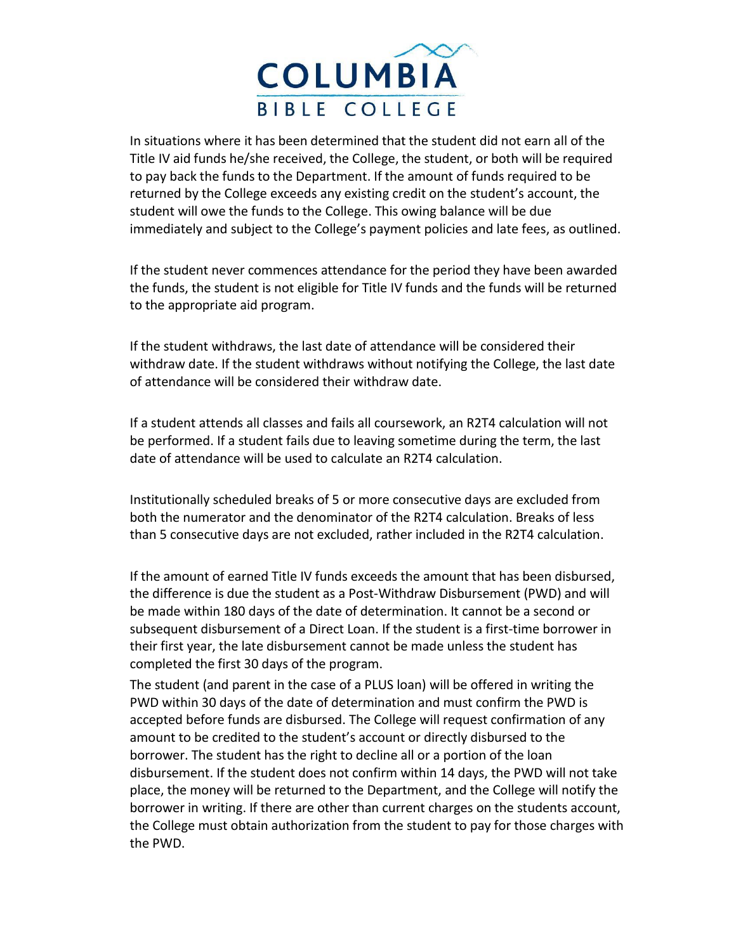

In situations where it has been determined that the student did not earn all of the Title IV aid funds he/she received, the College, the student, or both will be required to pay back the funds to the Department. If the amount of funds required to be returned by the College exceeds any existing credit on the student's account, the student will owe the funds to the College. This owing balance will be due immediately and subject to the College's payment policies and late fees, as outlined.

If the student never commences attendance for the period they have been awarded the funds, the student is not eligible for Title IV funds and the funds will be returned to the appropriate aid program.

If the student withdraws, the last date of attendance will be considered their withdraw date. If the student withdraws without notifying the College, the last date of attendance will be considered their withdraw date.

If a student attends all classes and fails all coursework, an R2T4 calculation will not be performed. If a student fails due to leaving sometime during the term, the last date of attendance will be used to calculate an R2T4 calculation.

Institutionally scheduled breaks of 5 or more consecutive days are excluded from both the numerator and the denominator of the R2T4 calculation. Breaks of less than 5 consecutive days are not excluded, rather included in the R2T4 calculation.

If the amount of earned Title IV funds exceeds the amount that has been disbursed, the difference is due the student as a Post-Withdraw Disbursement (PWD) and will be made within 180 days of the date of determination. It cannot be a second or subsequent disbursement of a Direct Loan. If the student is a first-time borrower in their first year, the late disbursement cannot be made unless the student has completed the first 30 days of the program.

The student (and parent in the case of a PLUS loan) will be offered in writing the PWD within 30 days of the date of determination and must confirm the PWD is accepted before funds are disbursed. The College will request confirmation of any amount to be credited to the student's account or directly disbursed to the borrower. The student has the right to decline all or a portion of the loan disbursement. If the student does not confirm within 14 days, the PWD will not take place, the money will be returned to the Department, and the College will notify the borrower in writing. If there are other than current charges on the students account, the College must obtain authorization from the student to pay for those charges with the PWD.